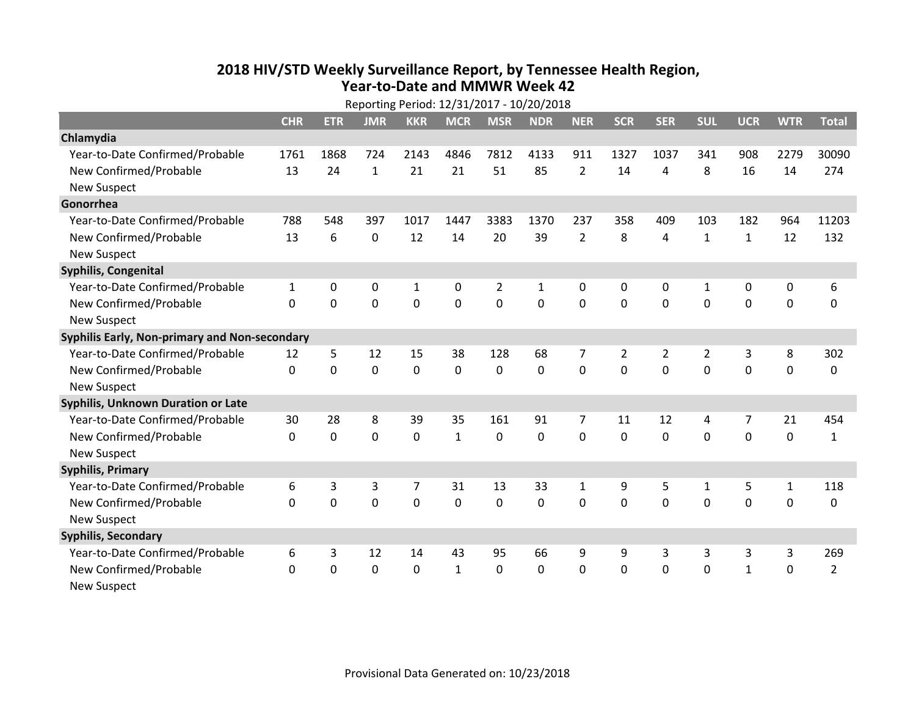## **2018 HIV /STD Weekl y Surveillance Report, b y Tennessee Health Region, Year‐to‐Date and MMWR Week 42**

|                                               | Reporting Period: 12/31/2017 - 10/20/2018 |            |              |                |                |             |             |                |                |                |                |                |              |                |
|-----------------------------------------------|-------------------------------------------|------------|--------------|----------------|----------------|-------------|-------------|----------------|----------------|----------------|----------------|----------------|--------------|----------------|
|                                               | <b>CHR</b>                                | <b>ETR</b> | <b>JMR</b>   | <b>KKR</b>     | <b>MCR</b>     | <b>MSR</b>  | <b>NDR</b>  | <b>NER</b>     | <b>SCR</b>     | <b>SER</b>     | <b>SUL</b>     | <b>UCR</b>     | <b>WTR</b>   | <b>Total</b>   |
| Chlamydia                                     |                                           |            |              |                |                |             |             |                |                |                |                |                |              |                |
| Year-to-Date Confirmed/Probable               | 1761                                      | 1868       | 724          | 2143           | 4846           | 7812        | 4133        | 911            | 1327           | 1037           | 341            | 908            | 2279         | 30090          |
| New Confirmed/Probable                        | 13                                        | 24         | $\mathbf{1}$ | 21             | 21             | 51          | 85          | $\overline{2}$ | 14             | 4              | 8              | 16             | 14           | 274            |
| <b>New Suspect</b>                            |                                           |            |              |                |                |             |             |                |                |                |                |                |              |                |
| Gonorrhea                                     |                                           |            |              |                |                |             |             |                |                |                |                |                |              |                |
| Year-to-Date Confirmed/Probable               | 788                                       | 548        | 397          | 1017           | 1447           | 3383        | 1370        | 237            | 358            | 409            | 103            | 182            | 964          | 11203          |
| New Confirmed/Probable                        | 13                                        | 6          | $\mathbf 0$  | 12             | 14             | 20          | 39          | $\overline{2}$ | 8              | 4              | $\mathbf{1}$   | $\mathbf{1}$   | 12           | 132            |
| <b>New Suspect</b>                            |                                           |            |              |                |                |             |             |                |                |                |                |                |              |                |
| Syphilis, Congenital                          |                                           |            |              |                |                |             |             |                |                |                |                |                |              |                |
| Year-to-Date Confirmed/Probable               | $\mathbf{1}$                              | 0          | 0            | $\mathbf{1}$   | 0              | 2           | 1           | 0              | $\Omega$       | $\mathbf{0}$   | 1              | 0              | 0            | 6              |
| New Confirmed/Probable                        | $\Omega$                                  | $\Omega$   | 0            | $\mathbf 0$    | $\overline{0}$ | $\mathbf 0$ | $\mathbf 0$ | $\mathbf{0}$   | $\mathbf 0$    | $\Omega$       | $\mathbf{0}$   | $\mathbf 0$    | $\mathbf 0$  | $\mathbf 0$    |
| <b>New Suspect</b>                            |                                           |            |              |                |                |             |             |                |                |                |                |                |              |                |
| Syphilis Early, Non-primary and Non-secondary |                                           |            |              |                |                |             |             |                |                |                |                |                |              |                |
| Year-to-Date Confirmed/Probable               | 12                                        | 5          | 12           | 15             | 38             | 128         | 68          | 7              | $\overline{2}$ | $\overline{2}$ | $\overline{2}$ | 3              | 8            | 302            |
| New Confirmed/Probable                        | $\Omega$                                  | 0          | 0            | $\mathbf 0$    | 0              | $\mathbf 0$ | $\mathbf 0$ | $\overline{0}$ | $\Omega$       | $\Omega$       | $\mathbf{0}$   | $\overline{0}$ | $\mathbf 0$  | 0              |
| <b>New Suspect</b>                            |                                           |            |              |                |                |             |             |                |                |                |                |                |              |                |
| Syphilis, Unknown Duration or Late            |                                           |            |              |                |                |             |             |                |                |                |                |                |              |                |
| Year-to-Date Confirmed/Probable               | 30                                        | 28         | 8            | 39             | 35             | 161         | 91          | $\overline{7}$ | 11             | 12             | 4              | 7              | 21           | 454            |
| New Confirmed/Probable                        | $\Omega$                                  | 0          | 0            | $\mathbf 0$    | $\mathbf{1}$   | $\Omega$    | 0           | $\Omega$       | $\Omega$       | $\Omega$       | $\Omega$       | $\mathbf 0$    | $\mathbf 0$  | $\mathbf{1}$   |
| <b>New Suspect</b>                            |                                           |            |              |                |                |             |             |                |                |                |                |                |              |                |
| <b>Syphilis, Primary</b>                      |                                           |            |              |                |                |             |             |                |                |                |                |                |              |                |
| Year-to-Date Confirmed/Probable               | 6                                         | 3          | 3            | $\overline{7}$ | 31             | 13          | 33          | 1              | 9              | 5              | 1              | 5              | $\mathbf{1}$ | 118            |
| New Confirmed/Probable                        | $\Omega$                                  | 0          | $\mathbf 0$  | $\mathbf 0$    | 0              | $\mathbf 0$ | 0           | 0              | $\mathbf 0$    | $\Omega$       | $\mathbf 0$    | $\mathbf 0$    | $\mathbf 0$  | 0              |
| <b>New Suspect</b>                            |                                           |            |              |                |                |             |             |                |                |                |                |                |              |                |
| <b>Syphilis, Secondary</b>                    |                                           |            |              |                |                |             |             |                |                |                |                |                |              |                |
| Year-to-Date Confirmed/Probable               | 6                                         | 3          | 12           | 14             | 43             | 95          | 66          | 9              | 9              | 3              | 3              | 3              | 3            | 269            |
| New Confirmed/Probable                        | 0                                         | 0          | $\mathbf 0$  | $\mathbf 0$    | $\mathbf{1}$   | 0           | 0           | 0              | $\mathbf 0$    | $\Omega$       | $\mathbf 0$    | $\mathbf{1}$   | $\mathbf 0$  | $\overline{2}$ |
| <b>New Suspect</b>                            |                                           |            |              |                |                |             |             |                |                |                |                |                |              |                |